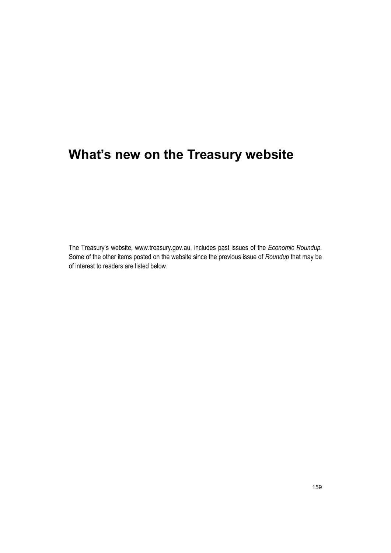# **What's new on the Treasury website**

The Treasury's website, www.treasury.gov.au, includes past issues of the *Economic Roundup*. Some of the other items posted on the website since the previous issue of *Roundup* that may be of interest to readers are listed below.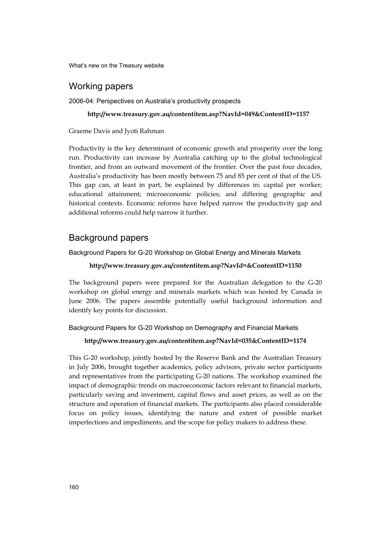What's new on the Treasury website

# Working papers

2006-04: Perspectives on Australia's productivity prospects

**http://www.treasury.gov.au/contentitem.asp?NavId=049&ContentID=1157** 

Graeme Davis and Jyoti Rahman

Productivity is the key determinant of economic growth and prosperity over the long run. Productivity can increase by Australia catching up to the global technological frontier, and from an outward movement of the frontier. Over the past four decades, Australia's productivity has been mostly between 75 and 85 per cent of that of the US. This gap can, at least in part, be explained by differences in: capital per worker; educational attainment; microeconomic policies; and differing geographic and historical contexts. Economic reforms have helped narrow the productivity gap and additional reforms could help narrow it further.

# Background papers

Background Papers for G-20 Workshop on Global Energy and Minerals Markets

## **http://www.treasury.gov.au/contentitem.asp?NavId=&ContentID=1150**

The background papers were prepared for the Australian delegation to the G-20 workshop on global energy and minerals markets which was hosted by Canada in June 2006. The papers assemble potentially useful background information and identify key points for discussion.

#### Background Papers for G-20 Workshop on Demography and Financial Markets

## **http://www.treasury.gov.au/contentitem.asp?NavId=035&ContentID=1174**

This G-20 workshop, jointly hosted by the Reserve Bank and the Australian Treasury in July 2006, brought together academics, policy advisors, private sector participants and representatives from the participating G-20 nations. The workshop examined the impact of demographic trends on macroeconomic factors relevant to financial markets, particularly saving and investment, capital flows and asset prices, as well as on the structure and operation of financial markets. The participants also placed considerable focus on policy issues, identifying the nature and extent of possible market imperfections and impediments, and the scope for policy makers to address these.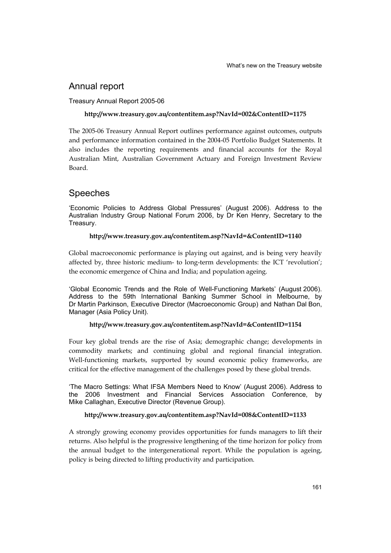# Annual report

# Treasury Annual Report 2005-06

## **http://www.treasury.gov.au/contentitem.asp?NavId=002&ContentID=1175**

The 2005-06 Treasury Annual Report outlines performance against outcomes, outputs and performance information contained in the 2004-05 Portfolio Budget Statements. It also includes the reporting requirements and financial accounts for the Royal Australian Mint, Australian Government Actuary and Foreign Investment Review Board.

# Speeches

'Economic Policies to Address Global Pressures' (August 2006). Address to the Australian Industry Group National Forum 2006, by Dr Ken Henry, Secretary to the Treasury.

### **http://www.treasury.gov.au/contentitem.asp?NavId=&ContentID=1140**

Global macroeconomic performance is playing out against, and is being very heavily affected by, three historic medium- to long-term developments: the ICT 'revolution'; the economic emergence of China and India; and population ageing.

'Global Economic Trends and the Role of Well-Functioning Markets' (August 2006). Address to the 59th International Banking Summer School in Melbourne, by Dr Martin Parkinson, Executive Director (Macroeconomic Group) and Nathan Dal Bon, Manager (Asia Policy Unit).

### **http://www.treasury.gov.au/contentitem.asp?NavId=&ContentID=1154**

Four key global trends are the rise of Asia; demographic change; developments in commodity markets; and continuing global and regional financial integration. Well-functioning markets, supported by sound economic policy frameworks, are critical for the effective management of the challenges posed by these global trends.

'The Macro Settings: What IFSA Members Need to Know' (August 2006). Address to the 2006 Investment and Financial Services Association Conference, by Mike Callaghan, Executive Director (Revenue Group).

### **http://www.treasury.gov.au/contentitem.asp?NavId=008&ContentID=1133**

A strongly growing economy provides opportunities for funds managers to lift their returns. Also helpful is the progressive lengthening of the time horizon for policy from the annual budget to the intergenerational report. While the population is ageing, policy is being directed to lifting productivity and participation.